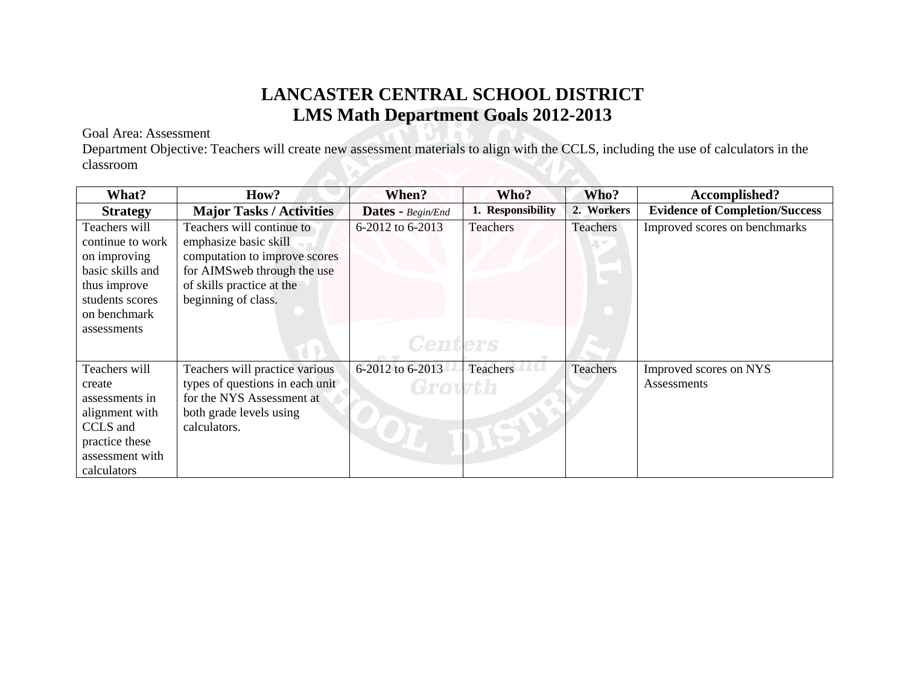## **LANCASTER CENTRAL SCHOOL DISTRICT LMS Math Department Goals 2012-2013**

## Goal Area: Assessment

Department Objective: Teachers will create new assessment materials to align with the CCLS, including the use of calculators in the classroom

| What?                                                                                                                       | How?                                                                                                                                                                   | When?                      | Who?                  | Who?       | Accomplished?                         |
|-----------------------------------------------------------------------------------------------------------------------------|------------------------------------------------------------------------------------------------------------------------------------------------------------------------|----------------------------|-----------------------|------------|---------------------------------------|
| <b>Strategy</b>                                                                                                             | <b>Major Tasks / Activities</b>                                                                                                                                        | Dates - Begin/End          | <b>Responsibility</b> | 2. Workers | <b>Evidence of Completion/Success</b> |
| Teachers will<br>continue to work<br>on improving<br>basic skills and<br>thus improve<br>students scores<br>on benchmark    | Teachers will continue to<br>emphasize basic skill<br>computation to improve scores<br>for AIMSweb through the use<br>of skills practice at the<br>beginning of class. | 6-2012 to 6-2013           | Teachers              | Teachers   | Improved scores on benchmarks         |
| assessments                                                                                                                 |                                                                                                                                                                        | <b>Centers</b>             |                       |            |                                       |
| Teachers will<br>create<br>assessments in<br>alignment with<br>CCLS and<br>practice these<br>assessment with<br>calculators | Teachers will practice various<br>types of questions in each unit<br>for the NYS Assessment at<br>both grade levels using<br>calculators.                              | 6-2012 to 6-2013<br>Growth | Teachers              | Teachers   | Improved scores on NYS<br>Assessments |